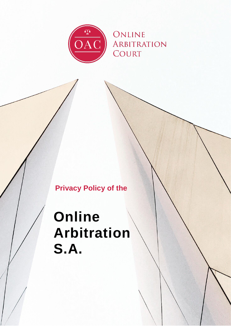

## **Privacy Policy of the**

# **Online Arbitration S.A.**

0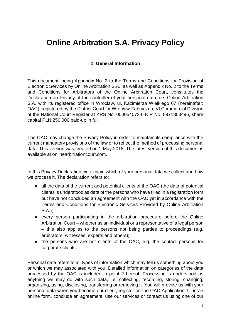### **Online Arbitration S.A. Privacy Policy**

#### **1. General Information**

This document, being Appendix No. 2 to the Terms and Conditions for Provision of Electronic Services by Online Arbitration S.A., as well as Appendix No. 2 to the Terms and Conditions for Arbitrators of the Online Arbitration Court, constitutes the Declaration on Privacy of the controller of your personal data, i.e. Online Arbitration S.A. with its registered office in Wrocław, ul. Kazimierza Wielkiego 67 (hereinafter: OAC), registered by the District Court for Wrocław-Fabryczna, VI Commercial Division of the National Court Register at KRS No. 0000540734, NIP No. 8971803496, share capital PLN 250,000 paid-up in full.

The OAC may change the Privacy Policy in order to maintain its compliance with the current mandatory provisions of the law or to reflect the method of processing personal data. This version was created on 1 May 2018. The latest version of this document is available at onlinearbitrationcourt.com.

In this Privacy Declaration we explain which of your personal data we collect and how we process it. The declaration refers to:

- all the data of the current and potential clients of the OAC (the data of potential clients is understood as data of the persons who have filled in a registration form but have not concluded an agreement with the OAC yet in accordance with the Terms and Conditions for Electronic Services Provided by Online Arbitration S.A.);
- every person participating in the arbitration procedure before the Online Arbitration Court – whether as an individual or a representative of a legal person – this also applies to the persons not being parties to proceedings (e.g. arbitrators, witnesses, experts and others);
- the persons who are not clients of the OAC, e.g. the contact persons for corporate clients.

Personal data refers to all types of information which may tell us something about you or which we may associated with you. Detailed information on categories of the data processed by the OAC is included in point 2 hereof. Processing is understood as anything we may do with such data, i.e. collecting, recording, storing, changing, organizing, using, disclosing, transferring or removing it. You will provide us with your personal data when you become our client, register on the OAC Application, fill in an online form, conclude an agreement, use our services or contact us using one of our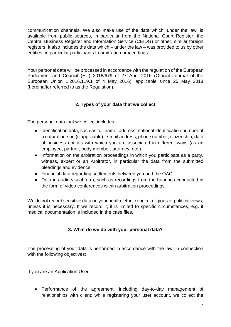communication channels. We also make use of the data which, under the law, is available from public sources, in particular from the National Court Register, the Central Business Register and Information Service (CEIDG) or other, similar foreign registers. It also includes the data which – under the law – was provided to us by other entities, in particular participants to arbitration proceedings.

Your personal data will be processed in accordance with the regulation of the European Parliament and Council (EU) 2016/679 of 27 April 2016 (Official Journal of the European Union L.2016.119.1 of 4 May 2016), applicable since 25 May 2018 (hereinafter referred to as the Regulation).

#### **2. Types of your data that we collect**

The personal data that we collect includes:

- Identification data, such as full name, address, national identification number of a natural person (if applicable), e-mail address, phone number, citizenship, data of business entities with which you are associated in different ways (as an employee, partner, body member, attorney, etc.).
- Information on the arbitration proceedings in which you participate as a party, witness, expert or an Arbitrator, in particular the data from the submitted pleadings and evidence.
- Financial data regarding settlements between you and the OAC.
- Data in audio-visual form, such as recordings from the hearings conducted in the form of video conferences within arbitration proceedings.

We do not record sensitive data on your health, ethnic origin, religious or political views, unless it is necessary. If we record it, it is limited to specific circumstances, e.g. if medical documentation is included in the case files.

#### **3. What do we do with your personal data?**

The processing of your data is performed in accordance with the law, in connection with the following objectives:

If you are an Application User:

● Performance of the agreement, including day-to-day management of relationships with client: while registering your user account, we collect the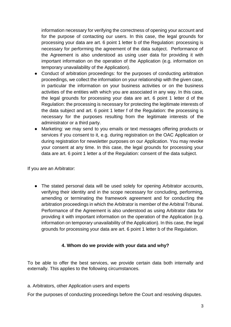information necessary for verifying the correctness of opening your account and for the purpose of contacting our users. In this case, the legal grounds for processing your data are art. 6 point 1 letter b of the Regulation: processing is necessary for performing the agreement of the data subject. Performance of the Agreement is also understood as using user data for providing it with important information on the operation of the Application (e.g. information on temporary unavailability of the Application).

- Conduct of arbitration proceedings: for the purposes of conducting arbitration proceedings, we collect the information on your relationship with the given case, in particular the information on your business activities or on the business activities of the entities with which you are associated in any way. In this case, the legal grounds for processing your data are art. 6 point 1 letter d of the Regulation: the processing is necessary for protecting the legitimate interests of the data subject and art. 6 point 1 letter f of the Regulation: the processing is necessary for the purposes resulting from the legitimate interests of the administrator or a third party.
- Marketing: we may send to you emails or text messages offering products or services if you consent to it, e.g. during registration on the OAC Application or during registration for newsletter purposes on our Application. You may revoke your consent at any time. In this case, the legal grounds for processing your data are art. 6 point 1 letter a of the Regulation: consent of the data subject.

If you are an Arbitrator:

• The stated personal data will be used solely for opening Arbitrator accounts, verifying their identity and in the scope necessary for concluding, performing, amending or terminating the framework agreement and for conducting the arbitration proceedings in which the Arbitrator is member of the Arbitral Tribunal. Performance of the Agreement is also understood as using Arbitrator data for providing it with important information on the operation of the Application (e.g. information on temporary unavailability of the Application). In this case, the legal grounds for processing your data are art. 6 point 1 letter b of the Regulation.

#### **4. Whom do we provide with your data and why?**

To be able to offer the best services, we provide certain data both internally and externally. This applies to the following circumstances.

a. Arbitrators, other Application users and experts

For the purposes of conducting proceedings before the Court and resolving disputes.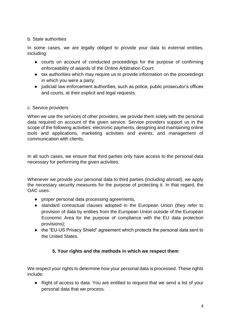#### b. State authorities

In some cases, we are legally obliged to provide your data to external entities, including:

- courts on account of conducted proceedings for the purpose of confirming enforceability of awards of the Online Arbitration Court;
- tax authorities which may require us to provide information on the proceedings in which you were a party;
- judicial/ law enforcement authorities, such as police, public prosecutor's offices and courts, at their explicit and legal requests.

#### c. Service providers

When we use the services of other providers, we provide them solely with the personal data required on account of the given service. Service providers support us in the scope of the following activities: electronic payments, designing and maintaining online tools and applications, marketing activities and events, and management of communication with clients.

In all such cases, we ensure that third parties only have access to the personal data necessary for performing the given activities.

Whenever we provide your personal data to third parties (including abroad), we apply the necessary security measures for the purpose of protecting it. In that regard, the OAC uses:

- proper personal data processing agreements,
- standard contractual clauses adopted in the European Union (they refer to provision of data by entities from the European Union outside of the European Economic Area for the purpose of compliance with the EU data protection provisions);
- the "EU-US Privacy Shield" agreement which protects the personal data sent to the United States.

#### **5. Your rights and the methods in which we respect them**

We respect your rights to determine how your personal data is processed. These rights include:

● Right of access to data: You are entitled to request that we send a list of your personal data that we process.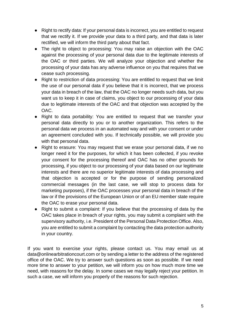- Right to rectify data: If your personal data is incorrect, you are entitled to request that we rectify it. If we provide your data to a third party, and that data is later rectified, we will inform the third party about that fact.
- The right to object to processing: You may raise an objection with the OAC against the processing of your personal data due to the legitimate interests of the OAC or third parties. We will analyze your objection and whether the processing of your data has any adverse influence on you that requires that we cease such processing.
- Right to restriction of data processing: You are entitled to request that we limit the use of our personal data if you believe that it is incorrect, that we process your data in breach of the law, that the OAC no longer needs such data, but you want us to keep it in case of claims, you object to our processing of your data due to legitimate interests of the OAC and that objection was accepted by the OAC.
- Right to data portability: You are entitled to request that we transfer your personal data directly to you or to another organization. This refers to the personal data we process in an automated way and with your consent or under an agreement concluded with you. If technically possible, we will provide you with that personal data.
- Right to erasure: You may request that we erase your personal data, if we no longer need it for the purposes, for which it has been collected, if you revoke your consent for the processing thereof and OAC has no other grounds for processing, if you object to our processing of your data based on our legitimate interests and there are no superior legitimate interests of data processing and that objection is accepted or for the purpose of sending personalized commercial messages (in the last case, we will stop to process data for marketing purposes), if the OAC processes your personal data in breach of the law or if the provisions of the European Union or of an EU member state require the OAC to erase your personal data.
- Right to submit a complaint: If you believe that the processing of data by the OAC takes place in breach of your rights, you may submit a complaint with the supervisory authority, i.e. President of the Personal Data Protection Office. Also, you are entitled to submit a complaint by contacting the data protection authority in your country.

If you want to exercise your rights, please contact us. You may email us at data@onlinearbitrationcourt.com or by sending a letter to the address of the registered office of the OAC. We try to answer such questions as soon as possible. If we need more time to answer to your petition, we will inform you on how much more time we need, with reasons for the delay. In some cases we may legally reject your petition. In such a case, we will inform you properly of the reasons for such rejection.